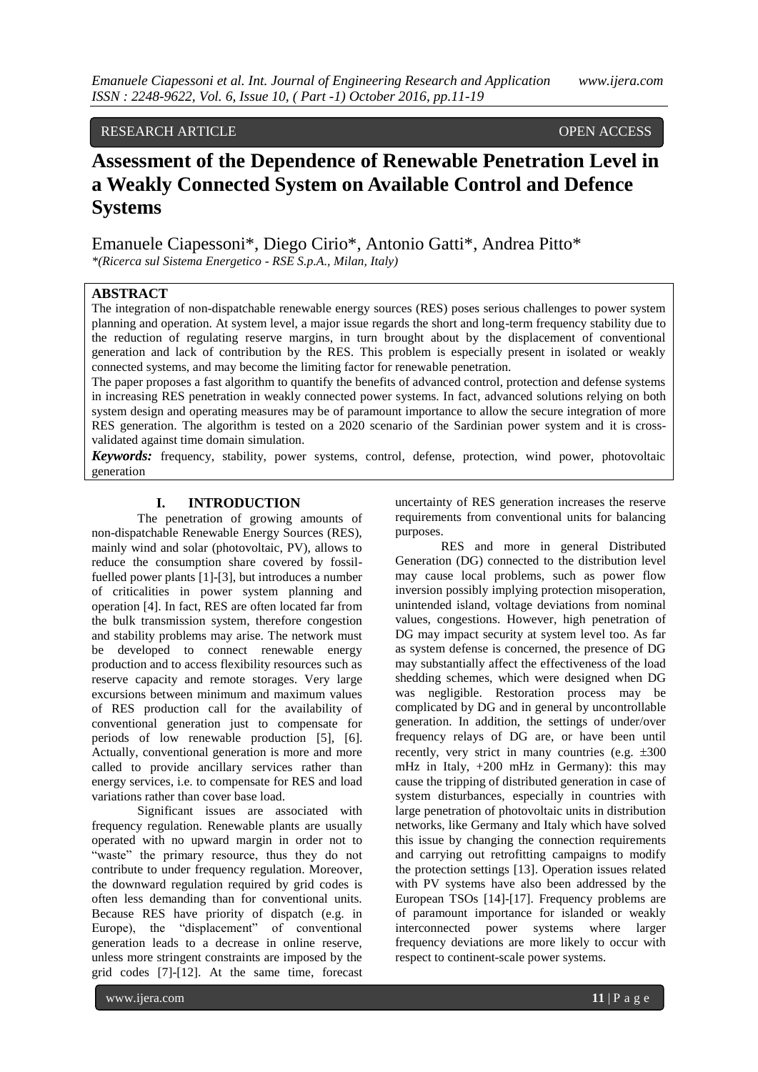# RESEARCH ARTICLE OPEN ACCESS

# **Assessment of the Dependence of Renewable Penetration Level in a Weakly Connected System on Available Control and Defence Systems**

Emanuele Ciapessoni\*, Diego Cirio\*, Antonio Gatti\*, Andrea Pitto\* *\*(Ricerca sul Sistema Energetico - RSE S.p.A., Milan, Italy)*

## **ABSTRACT**

The integration of non-dispatchable renewable energy sources (RES) poses serious challenges to power system planning and operation. At system level, a major issue regards the short and long-term frequency stability due to the reduction of regulating reserve margins, in turn brought about by the displacement of conventional generation and lack of contribution by the RES. This problem is especially present in isolated or weakly connected systems, and may become the limiting factor for renewable penetration.

The paper proposes a fast algorithm to quantify the benefits of advanced control, protection and defense systems in increasing RES penetration in weakly connected power systems. In fact, advanced solutions relying on both system design and operating measures may be of paramount importance to allow the secure integration of more RES generation. The algorithm is tested on a 2020 scenario of the Sardinian power system and it is crossvalidated against time domain simulation.

*Keywords:* frequency, stability, power systems, control, defense, protection, wind power, photovoltaic generation

## **I. INTRODUCTION**

The penetration of growing amounts of non-dispatchable Renewable Energy Sources (RES), mainly wind and solar (photovoltaic, PV), allows to reduce the consumption share covered by fossilfuelled power plants [\[1\]-](#page-8-0)[3], but introduces a number of criticalities in power system planning and operation [\[4\].](#page-8-1) In fact, RES are often located far from the bulk transmission system, therefore congestion and stability problems may arise. The network must be developed to connect renewable energy production and to access flexibility resources such as reserve capacity and remote storages. Very large excursions between minimum and maximum values of RES production call for the availability of conventional generation just to compensate for periods of low renewable production [\[5\],](#page-8-2) [\[6\].](#page-8-3)  Actually, conventional generation is more and more called to provide ancillary services rather than energy services, i.e. to compensate for RES and load variations rather than cover base load.

Significant issues are associated with frequency regulation. Renewable plants are usually operated with no upward margin in order not to "waste" the primary resource, thus they do not contribute to under frequency regulation. Moreover, the downward regulation required by grid codes is often less demanding than for conventional units. Because RES have priority of dispatch (e.g. in Europe), the "displacement" of conventional generation leads to a decrease in online reserve, unless more stringent constraints are imposed by the grid codes [\[7\]-](#page-8-4)[\[12\].](#page-8-5) At the same time, forecast

uncertainty of RES generation increases the reserve requirements from conventional units for balancing purposes.

RES and more in general Distributed Generation (DG) connected to the distribution level may cause local problems, such as power flow inversion possibly implying protection misoperation, unintended island, voltage deviations from nominal values, congestions. However, high penetration of DG may impact security at system level too. As far as system defense is concerned, the presence of DG may substantially affect the effectiveness of the load shedding schemes, which were designed when DG was negligible. Restoration process may be complicated by DG and in general by uncontrollable generation. In addition, the settings of under/over frequency relays of DG are, or have been until recently, very strict in many countries (e.g.  $\pm 300$ ) mHz in Italy, +200 mHz in Germany): this may cause the tripping of distributed generation in case of system disturbances, especially in countries with large penetration of photovoltaic units in distribution networks, like Germany and Italy which have solved this issue by changing the connection requirements and carrying out retrofitting campaigns to modify the protection settings [\[13\].](#page-8-6) Operation issues related with PV systems have also been addressed by the European TSOs [\[14\]](#page-8-7)[-\[17\].](#page-8-8) Frequency problems are of paramount importance for islanded or weakly interconnected power systems where larger frequency deviations are more likely to occur with respect to continent-scale power systems.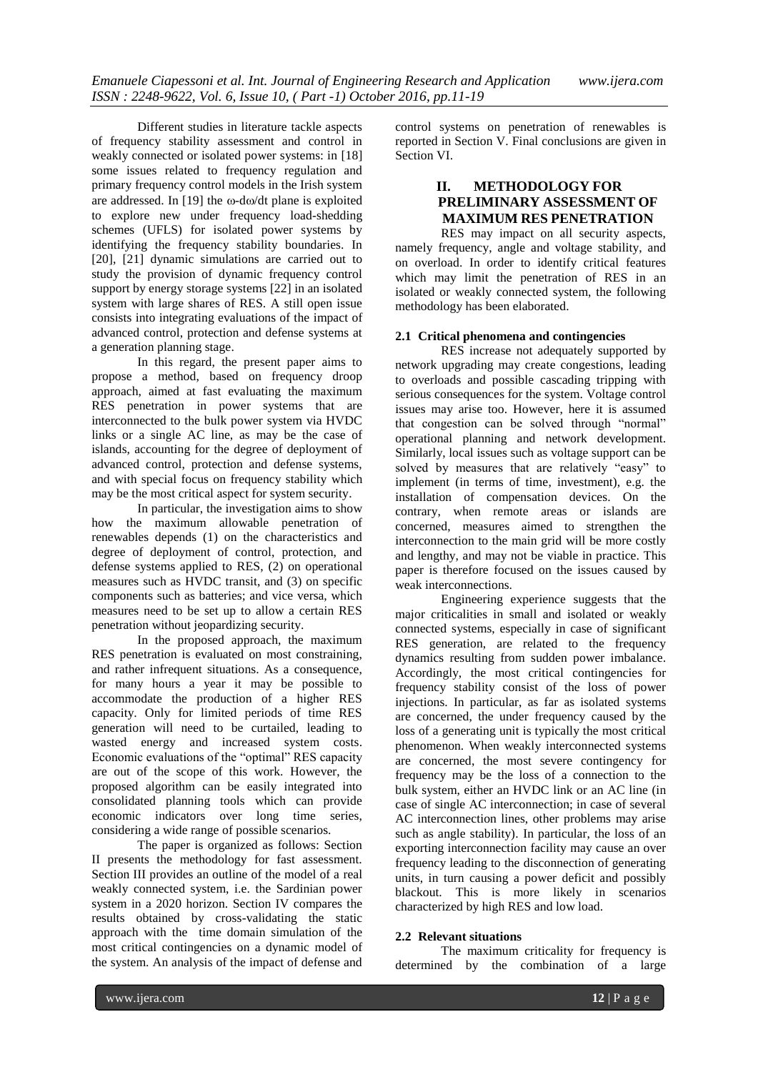Different studies in literature tackle aspects of frequency stability assessment and control in weakly connected or isolated power systems: in [\[18\]](#page-8-9) some issues related to frequency regulation and primary frequency control models in the Irish system are addressed. In [\[19\]](#page-8-10) the  $\omega$ -d $\omega$ /dt plane is exploited to explore new under frequency load-shedding schemes (UFLS) for isolated power systems by identifying the frequency stability boundaries. In [\[20\],](#page-8-11) [\[21\]](#page-8-12) dynamic simulations are carried out to study the provision of dynamic frequency control support by energy storage systems [\[22\]](#page-8-13) in an isolated system with large shares of RES. A still open issue consists into integrating evaluations of the impact of advanced control, protection and defense systems at a generation planning stage.

In this regard, the present paper aims to propose a method, based on frequency droop approach, aimed at fast evaluating the maximum RES penetration in power systems that are interconnected to the bulk power system via HVDC links or a single AC line, as may be the case of islands, accounting for the degree of deployment of advanced control, protection and defense systems, and with special focus on frequency stability which may be the most critical aspect for system security.

In particular, the investigation aims to show how the maximum allowable penetration of renewables depends (1) on the characteristics and degree of deployment of control, protection, and defense systems applied to RES, (2) on operational measures such as HVDC transit, and (3) on specific components such as batteries; and vice versa, which measures need to be set up to allow a certain RES penetration without jeopardizing security.

In the proposed approach, the maximum RES penetration is evaluated on most constraining, and rather infrequent situations. As a consequence, for many hours a year it may be possible to accommodate the production of a higher RES capacity. Only for limited periods of time RES generation will need to be curtailed, leading to wasted energy and increased system costs. Economic evaluations of the "optimal" RES capacity are out of the scope of this work. However, the proposed algorithm can be easily integrated into consolidated planning tools which can provide economic indicators over long time series, considering a wide range of possible scenarios.

The paper is organized as follows: Section II presents the methodology for fast assessment. Section III provides an outline of the model of a real weakly connected system, i.e. the Sardinian power system in a 2020 horizon. Section IV compares the results obtained by cross-validating the static approach with the time domain simulation of the most critical contingencies on a dynamic model of the system. An analysis of the impact of defense and

control systems on penetration of renewables is reported in Section V. Final conclusions are given in Section VI.

# **II. METHODOLOGY FOR PRELIMINARY ASSESSMENT OF MAXIMUM RES PENETRATION**

RES may impact on all security aspects, namely frequency, angle and voltage stability, and on overload. In order to identify critical features which may limit the penetration of RES in an isolated or weakly connected system, the following methodology has been elaborated.

## **2.1 Critical phenomena and contingencies**

RES increase not adequately supported by network upgrading may create congestions, leading to overloads and possible cascading tripping with serious consequences for the system. Voltage control issues may arise too. However, here it is assumed that congestion can be solved through "normal" operational planning and network development. Similarly, local issues such as voltage support can be solved by measures that are relatively "easy" to implement (in terms of time, investment), e.g. the installation of compensation devices. On the contrary, when remote areas or islands are concerned, measures aimed to strengthen the interconnection to the main grid will be more costly and lengthy, and may not be viable in practice. This paper is therefore focused on the issues caused by weak interconnections.

Engineering experience suggests that the major criticalities in small and isolated or weakly connected systems, especially in case of significant RES generation, are related to the frequency dynamics resulting from sudden power imbalance. Accordingly, the most critical contingencies for frequency stability consist of the loss of power injections. In particular, as far as isolated systems are concerned, the under frequency caused by the loss of a generating unit is typically the most critical phenomenon. When weakly interconnected systems are concerned, the most severe contingency for frequency may be the loss of a connection to the bulk system, either an HVDC link or an AC line (in case of single AC interconnection; in case of several AC interconnection lines, other problems may arise such as angle stability). In particular, the loss of an exporting interconnection facility may cause an over frequency leading to the disconnection of generating units, in turn causing a power deficit and possibly blackout. This is more likely in scenarios characterized by high RES and low load.

## **2.2 Relevant situations**

The maximum criticality for frequency is determined by the combination of a large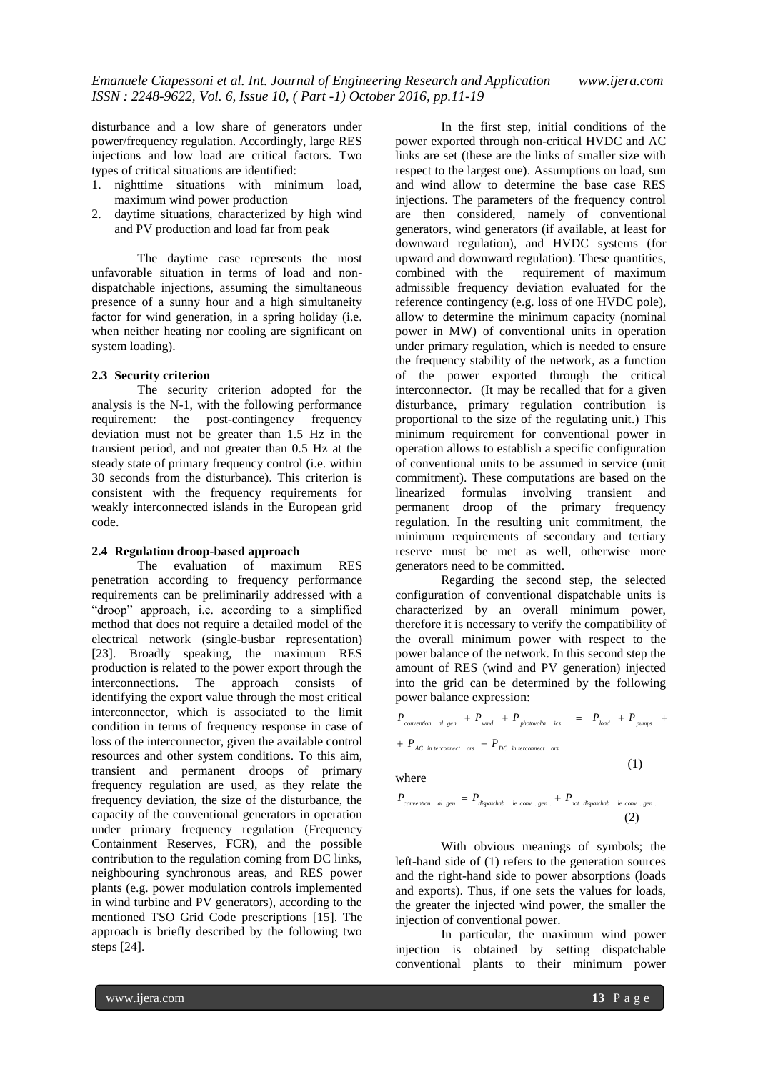disturbance and a low share of generators under power/frequency regulation. Accordingly, large RES injections and low load are critical factors. Two types of critical situations are identified:

- 1. nighttime situations with minimum load, maximum wind power production
- 2. daytime situations, characterized by high wind and PV production and load far from peak

The daytime case represents the most unfavorable situation in terms of load and nondispatchable injections, assuming the simultaneous presence of a sunny hour and a high simultaneity factor for wind generation, in a spring holiday (i.e. when neither heating nor cooling are significant on system loading).

## **2.3 Security criterion**

The security criterion adopted for the analysis is the N-1, with the following performance requirement: the post-contingency frequency deviation must not be greater than 1.5 Hz in the transient period, and not greater than 0.5 Hz at the steady state of primary frequency control (i.e. within 30 seconds from the disturbance). This criterion is consistent with the frequency requirements for weakly interconnected islands in the European grid code.

## **2.4 Regulation droop-based approach**

The evaluation of maximum RES penetration according to frequency performance requirements can be preliminarily addressed with a "droop" approach, i.e. according to a simplified method that does not require a detailed model of the electrical network (single-busbar representation) [\[23\].](#page-8-14) Broadly speaking, the maximum RES production is related to the power export through the interconnections. The approach consists of identifying the export value through the most critical interconnector, which is associated to the limit condition in terms of frequency response in case of loss of the interconnector, given the available control resources and other system conditions. To this aim, transient and permanent droops of primary frequency regulation are used, as they relate the frequency deviation, the size of the disturbance, the capacity of the conventional generators in operation under primary frequency regulation (Frequency Containment Reserves, FCR), and the possible contribution to the regulation coming from DC links, neighbouring synchronous areas, and RES power plants (e.g. power modulation controls implemented in wind turbine and PV generators), according to the mentioned TSO Grid Code prescriptions [\[15\].](#page-8-15) The approach is briefly described by the following two steps [\[24\].](#page-8-16)

In the first step, initial conditions of the power exported through non-critical HVDC and AC links are set (these are the links of smaller size with respect to the largest one). Assumptions on load, sun and wind allow to determine the base case RES injections. The parameters of the frequency control are then considered, namely of conventional generators, wind generators (if available, at least for downward regulation), and HVDC systems (for upward and downward regulation). These quantities, combined with the requirement of maximum admissible frequency deviation evaluated for the reference contingency (e.g. loss of one HVDC pole), allow to determine the minimum capacity (nominal power in MW) of conventional units in operation under primary regulation, which is needed to ensure the frequency stability of the network, as a function of the power exported through the critical interconnector. (It may be recalled that for a given disturbance, primary regulation contribution is proportional to the size of the regulating unit.) This minimum requirement for conventional power in operation allows to establish a specific configuration of conventional units to be assumed in service (unit commitment). These computations are based on the linearized formulas involving transient and permanent droop of the primary frequency regulation. In the resulting unit commitment, the minimum requirements of secondary and tertiary reserve must be met as well, otherwise more generators need to be committed.

Regarding the second step, the selected configuration of conventional dispatchable units is characterized by an overall minimum power, therefore it is necessary to verify the compatibility of the overall minimum power with respect to the power balance of the network. In this second step the amount of RES (wind and PV generation) injected into the grid can be determined by the following power balance expression:

$$
P_{convention \text{al gen}} + P_{wind} + P_{photovolla \text{ics}} = P_{load} + P_{pumps} + P_{AC \text{ in terconnect} \text{ors}} + P_{DC \text{ in terconnect} \text{ors}}
$$

where

$$
P_{convention \text{al gen}} = P_{dispatchab \text{le conv.gen.}} + P_{not \text{dispatchab} \text{le conv.gen.}} \tag{2}
$$

With obvious meanings of symbols; the left-hand side of (1) refers to the generation sources and the right-hand side to power absorptions (loads and exports). Thus, if one sets the values for loads, the greater the injected wind power, the smaller the injection of conventional power.

In particular, the maximum wind power injection is obtained by setting dispatchable conventional plants to their minimum power

(1)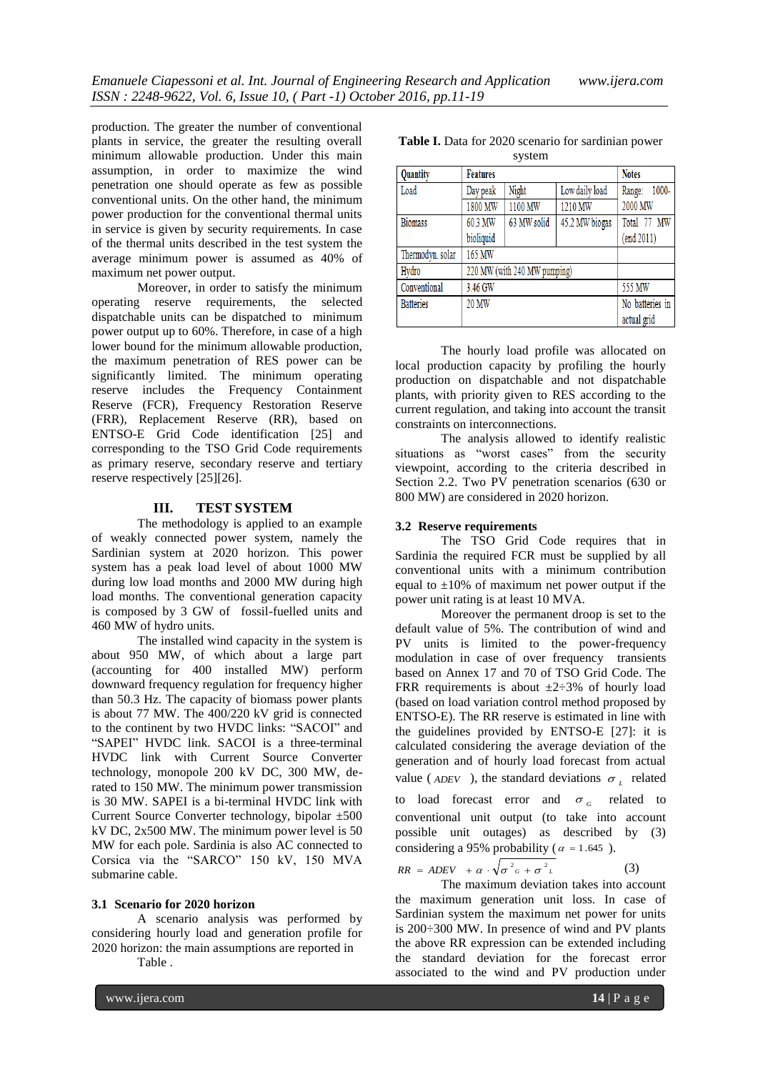production. The greater the number of conventional plants in service, the greater the resulting overall minimum allowable production. Under this main assumption, in order to maximize the wind penetration one should operate as few as possible conventional units. On the other hand, the minimum power production for the conventional thermal units in service is given by security requirements. In case of the thermal units described in the test system the average minimum power is assumed as 40% of maximum net power output.

Moreover, in order to satisfy the minimum operating reserve requirements, the selected dispatchable units can be dispatched to minimum power output up to 60%. Therefore, in case of a high lower bound for the minimum allowable production, the maximum penetration of RES power can be significantly limited. The minimum operating reserve includes the Frequency Containment Reserve (FCR), Frequency Restoration Reserve (FRR), Replacement Reserve (RR), based on ENTSO-E Grid Code identification [\[25\]](#page-8-17) and corresponding to the TSO Grid Code requirements as primary reserve, secondary reserve and tertiary reserve respectively [\[25\]\[26\].](#page-8-17)

## **III. TEST SYSTEM**

The methodology is applied to an example of weakly connected power system, namely the Sardinian system at 2020 horizon. This power system has a peak load level of about 1000 MW during low load months and 2000 MW during high load months. The conventional generation capacity is composed by 3 GW of fossil-fuelled units and 460 MW of hydro units.

The installed wind capacity in the system is about 950 MW, of which about a large part (accounting for 400 installed MW) perform downward frequency regulation for frequency higher than 50.3 Hz. The capacity of biomass power plants is about 77 MW. The 400/220 kV grid is connected to the continent by two HVDC links: "SACOI" and "SAPEI" HVDC link. SACOI is a three-terminal HVDC link with Current Source Converter technology, monopole 200 kV DC, 300 MW, derated to 150 MW. The minimum power transmission is 30 MW. SAPEI is a bi-terminal HVDC link with Current Source Converter technology, bipolar ±500 kV DC, 2x500 MW. The minimum power level is 50 MW for each pole. Sardinia is also AC connected to Corsica via the "SARCO" 150 kV, 150 MVA submarine cable.

#### **3.1 Scenario for 2020 horizon**

A scenario analysis was performed by considering hourly load and generation profile for 2020 horizon: the main assumptions are reported in

[Table .](#page-3-0) 

<span id="page-3-0"></span>

| 5,000            |                              |             |                |                 |
|------------------|------------------------------|-------------|----------------|-----------------|
| Quantity         | <b>Features</b>              |             |                | <b>Notes</b>    |
| Load             | Day peak                     | Night       | Low daily load | 1000-<br>Range: |
|                  | 1800 MW                      | 1100 MW     | 1210 MW        | 2000 MW         |
| <b>Biomass</b>   | 60.3 MW                      | 63 MW solid | 45.2 MW biogas | Total 77 MW     |
|                  | bioliquid                    |             |                | (end 2011)      |
| Thermodyn. solar | 165 MW                       |             |                |                 |
| Hydro            | 220 MW (with 240 MW pumping) |             |                |                 |
| Conventional     | 3.46 GW                      |             |                | 555 MW          |
| <b>Batteries</b> | 20 MW                        |             |                | No batteries in |
|                  |                              |             |                | actual grid     |

The hourly load profile was allocated on local production capacity by profiling the hourly production on dispatchable and not dispatchable plants, with priority given to RES according to the current regulation, and taking into account the transit constraints on interconnections.

The analysis allowed to identify realistic situations as "worst cases" from the security viewpoint, according to the criteria described in Section 2.2. Two PV penetration scenarios (630 or 800 MW) are considered in 2020 horizon.

#### **3.2 Reserve requirements**

The TSO Grid Code requires that in Sardinia the required FCR must be supplied by all conventional units with a minimum contribution equal to  $\pm 10\%$  of maximum net power output if the power unit rating is at least 10 MVA.

Moreover the permanent droop is set to the default value of 5%. The contribution of wind and PV units is limited to the power-frequency modulation in case of over frequency transients based on Annex 17 and 70 of TSO Grid Code. The FRR requirements is about  $\pm 2\div 3\%$  of hourly load (based on load variation control method proposed by ENTSO-E). The RR reserve is estimated in line with the guidelines provided by ENTSO-E [\[27\]:](#page-8-18) it is calculated considering the average deviation of the generation and of hourly load forecast from actual value ( $_{ADEV}$ ), the standard deviations  $\sigma_L$  related

to load forecast error and  $\sigma<sub>G</sub>$ related to conventional unit output (to take into account possible unit outages) as described by (3) considering a 95% probability ( $\alpha = 1.645$ ).

$$
RR = ADEV + \alpha \cdot \sqrt{\sigma^2_{G} + \sigma^2_{L}}
$$

The maximum deviation takes into account the maximum generation unit loss. In case of Sardinian system the maximum net power for units is 200÷300 MW. In presence of wind and PV plants the above RR expression can be extended including the standard deviation for the forecast error associated to the wind and PV production under

(3)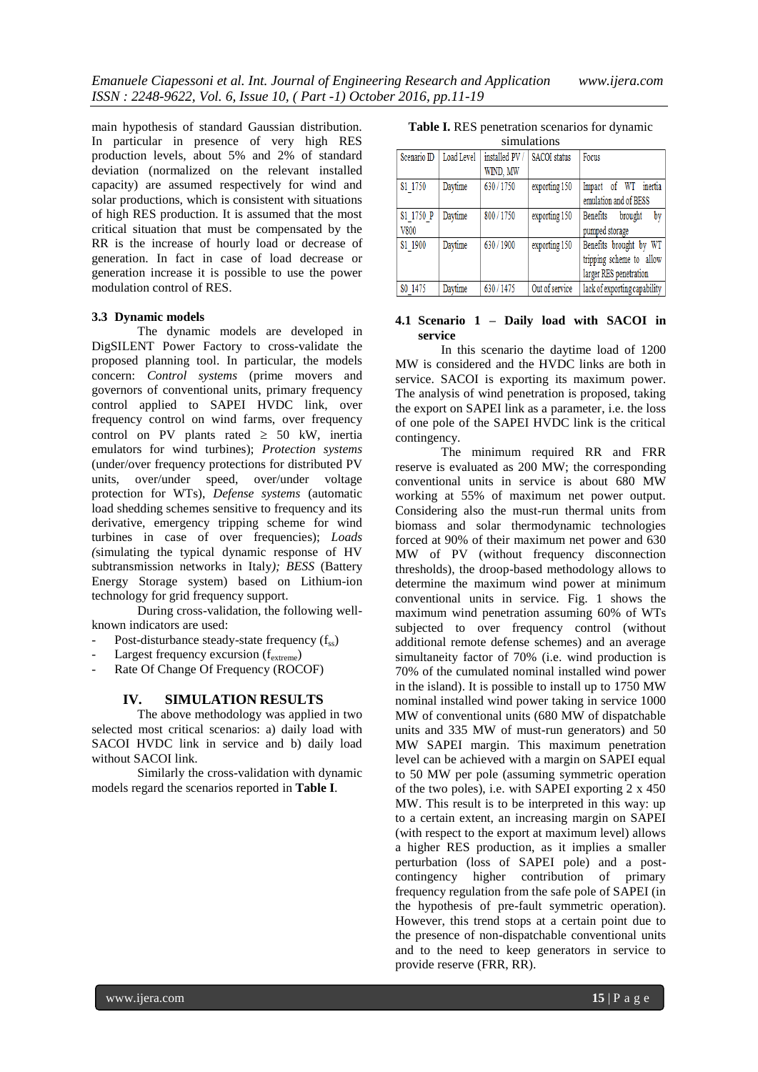main hypothesis of standard Gaussian distribution. In particular in presence of very high RES production levels, about 5% and 2% of standard deviation (normalized on the relevant installed capacity) are assumed respectively for wind and solar productions, which is consistent with situations of high RES production. It is assumed that the most critical situation that must be compensated by the RR is the increase of hourly load or decrease of generation. In fact in case of load decrease or generation increase it is possible to use the power modulation control of RES.

#### **3.3 Dynamic models**

The dynamic models are developed in DigSILENT Power Factory to cross-validate the proposed planning tool. In particular, the models concern: *Control systems* (prime movers and governors of conventional units, primary frequency control applied to SAPEI HVDC link, over frequency control on wind farms, over frequency control on PV plants rated  $\geq$  50 kW, inertia emulators for wind turbines); *Protection systems*  (under/over frequency protections for distributed PV units, over/under speed, over/under voltage protection for WTs), *Defense systems* (automatic load shedding schemes sensitive to frequency and its derivative, emergency tripping scheme for wind turbines in case of over frequencies); *Loads (*simulating the typical dynamic response of HV subtransmission networks in Italy*); BESS* (Battery Energy Storage system) based on Lithium-ion technology for grid frequency support.

During cross-validation, the following wellknown indicators are used:

- Post-disturbance steady-state frequency  $(f_{ss})$
- Largest frequency excursion  $(f_{extreme})$
- Rate Of Change Of Frequency (ROCOF)

#### **IV. SIMULATION RESULTS**

The above methodology was applied in two selected most critical scenarios: a) daily load with SACOI HVDC link in service and b) daily load without SACOI link.

Similarly the cross-validation with dynamic models regard the scenarios reported in **[Table I](#page-4-0)**.

<span id="page-4-0"></span>**Table I.** RES penetration scenarios for dynamic

| simulations         |            |                            |                     |                                                                              |  |
|---------------------|------------|----------------------------|---------------------|------------------------------------------------------------------------------|--|
| Scenario ID         | Load Level | installed PV /<br>WIND, MW | <b>SACOI</b> status | Focus                                                                        |  |
| S1 1750             | Daytime    | 630/1750                   | exporting 150       | inertia<br>Impact of WT<br>emulation and of BESS                             |  |
| S1 1750 P<br>V800   | Daytime    | 800/1750                   | exporting 150       | by<br>Benefits<br>brought<br>pumped storage                                  |  |
| S1 1900             | Daytime    | 630 / 1900                 | exporting 150       | Benefits brought by WT<br>tripping scheme to allow<br>larger RES penetration |  |
| S <sub>0</sub> 1475 | Davtime    | 630 / 1475                 | Out of service      | lack of exporting capability                                                 |  |

## **4.1 Scenario 1 – Daily load with SACOI in service**

In this scenario the daytime load of 1200 MW is considered and the HVDC links are both in service. SACOI is exporting its maximum power. The analysis of wind penetration is proposed, taking the export on SAPEI link as a parameter, i.e. the loss of one pole of the SAPEI HVDC link is the critical contingency.

The minimum required RR and FRR reserve is evaluated as 200 MW; the corresponding conventional units in service is about 680 MW working at 55% of maximum net power output. Considering also the must-run thermal units from biomass and solar thermodynamic technologies forced at 90% of their maximum net power and 630 MW of PV (without frequency disconnection thresholds), the droop-based methodology allows to determine the maximum wind power at minimum conventional units in service. [Fig. 1](#page-5-0) shows the maximum wind penetration assuming 60% of WTs subjected to over frequency control (without additional remote defense schemes) and an average simultaneity factor of 70% (i.e. wind production is 70% of the cumulated nominal installed wind power in the island). It is possible to install up to 1750 MW nominal installed wind power taking in service 1000 MW of conventional units (680 MW of dispatchable units and 335 MW of must-run generators) and 50 MW SAPEI margin. This maximum penetration level can be achieved with a margin on SAPEI equal to 50 MW per pole (assuming symmetric operation of the two poles), i.e. with SAPEI exporting 2 x 450 MW. This result is to be interpreted in this way: up to a certain extent, an increasing margin on SAPEI (with respect to the export at maximum level) allows a higher RES production, as it implies a smaller perturbation (loss of SAPEI pole) and a postcontingency higher contribution of primary frequency regulation from the safe pole of SAPEI (in the hypothesis of pre-fault symmetric operation). However, this trend stops at a certain point due to the presence of non-dispatchable conventional units and to the need to keep generators in service to provide reserve (FRR, RR).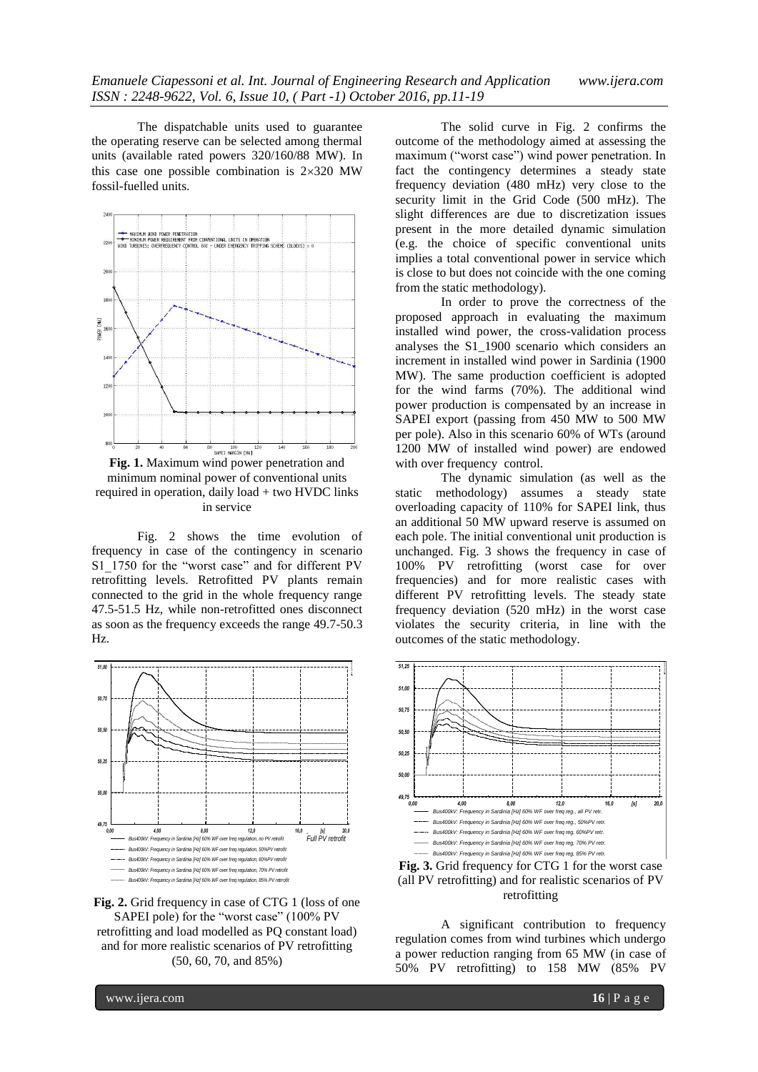The dispatchable units used to guarantee the operating reserve can be selected among thermal units (available rated powers 320/160/88 MW). In this case one possible combination is  $2\times320$  MW fossil-fuelled units.



<span id="page-5-0"></span>**Fig. 1.** Maximum wind power penetration and minimum nominal power of conventional units required in operation, daily load + two HVDC links in service

[Fig. 2](#page-5-1) shows the time evolution of frequency in case of the contingency in scenario S1<sup>1750</sup> for the "worst case" and for different PV retrofitting levels. Retrofitted PV plants remain connected to the grid in the whole frequency range 47.5-51.5 Hz, while non-retrofitted ones disconnect as soon as the frequency exceeds the range 49.7-50.3 Hz.



<span id="page-5-1"></span>Fig. 2. Grid frequency in case of CTG 1 (loss of one SAPEI pole) for the "worst case" (100% PV retrofitting and load modelled as PQ constant load) and for more realistic scenarios of PV retrofitting (50, 60, 70, and 85%)

The solid curve in [Fig. 2](#page-5-1) confirms the outcome of the methodology aimed at assessing the maximum ("worst case") wind power penetration. In fact the contingency determines a steady state frequency deviation (480 mHz) very close to the security limit in the Grid Code (500 mHz). The slight differences are due to discretization issues present in the more detailed dynamic simulation (e.g. the choice of specific conventional units implies a total conventional power in service which is close to but does not coincide with the one coming from the static methodology).

In order to prove the correctness of the proposed approach in evaluating the maximum installed wind power, the cross-validation process analyses the S1\_1900 scenario which considers an increment in installed wind power in Sardinia (1900 MW). The same production coefficient is adopted for the wind farms (70%). The additional wind power production is compensated by an increase in SAPEI export (passing from 450 MW to 500 MW per pole). Also in this scenario 60% of WTs (around 1200 MW of installed wind power) are endowed with over frequency control.

The dynamic simulation (as well as the static methodology) assumes a steady state overloading capacity of 110% for SAPEI link, thus an additional 50 MW upward reserve is assumed on each pole. The initial conventional unit production is unchanged. [Fig. 3](#page-5-2) shows the frequency in case of 100% PV retrofitting (worst case for over frequencies) and for more realistic cases with different PV retrofitting levels. The steady state frequency deviation (520 mHz) in the worst case violates the security criteria, in line with the outcomes of the static methodology.



<span id="page-5-2"></span>Fig. 3. Grid frequency for CTG 1 for the worst case (all PV retrofitting) and for realistic scenarios of PV retrofitting

A significant contribution to frequency regulation comes from wind turbines which undergo a power reduction ranging from 65 MW (in case of 50% PV retrofitting) to 158 MW (85% PV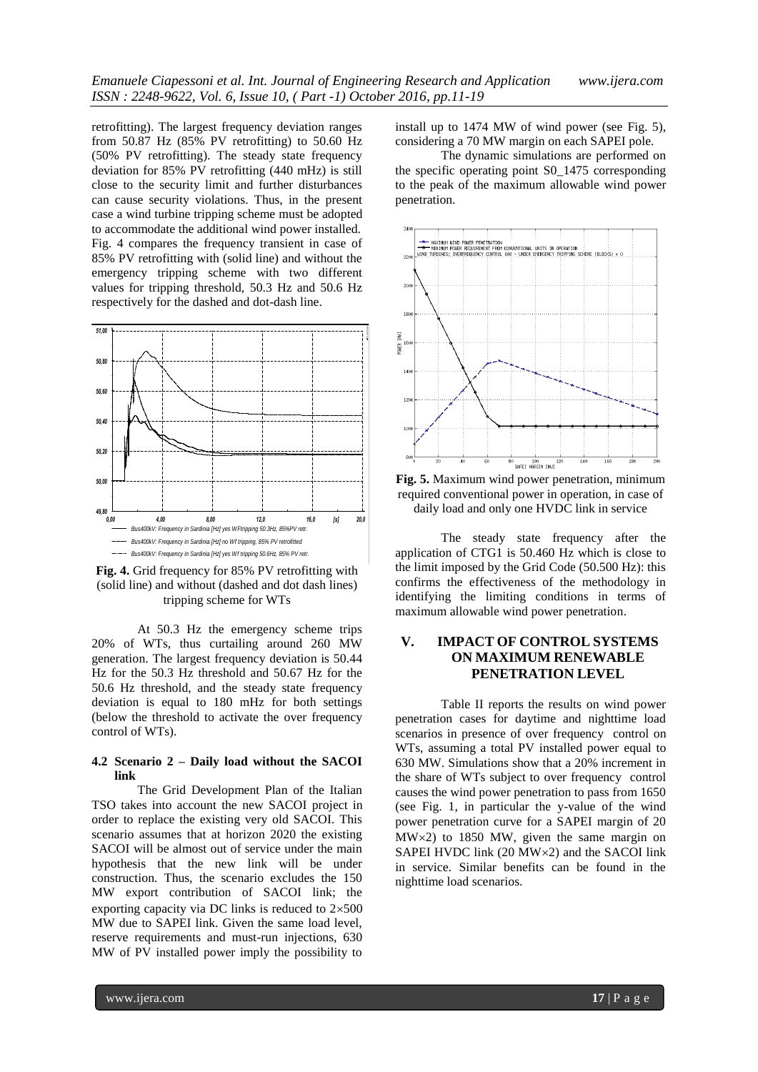retrofitting). The largest frequency deviation ranges from 50.87 Hz  $(85\% \text{ PV retrofitting})$  to 50.60 Hz (50% PV retrofitting). The steady state frequency deviation for 85% PV retrofitting (440 mHz) is still close to the security limit and further disturbances can cause security violations. Thus, in the present case a wind turbine tripping scheme must be adopted to accommodate the additional wind power installed. [Fig. 4](#page-6-0) compares the frequency transient in case of 85% PV retrofitting with (solid line) and without the emergency tripping scheme with two different values for tripping threshold, 50.3 Hz and 50.6 Hz respectively for the dashed and dot-dash line.



<span id="page-6-0"></span>Fig. 4. Grid frequency for 85% PV retrofitting with (solid line) and without (dashed and dot dash lines) tripping scheme for WTs

At 50.3 Hz the emergency scheme trips 20% of WTs, thus curtailing around 260 MW generation. The largest frequency deviation is 50.44 Hz for the 50.3 Hz threshold and 50.67 Hz for the 50.6 Hz threshold, and the steady state frequency deviation is equal to 180 mHz for both settings (below the threshold to activate the over frequency control of WTs).

## **4.2 Scenario 2 – Daily load without the SACOI link**

The Grid Development Plan of the Italian TSO takes into account the new SACOI project in order to replace the existing very old SACOI. This scenario assumes that at horizon 2020 the existing SACOI will be almost out of service under the main hypothesis that the new link will be under construction. Thus, the scenario excludes the 150 MW export contribution of SACOI link; the exporting capacity via DC links is reduced to  $2\times500$ MW due to SAPEI link. Given the same load level, reserve requirements and must-run injections, 630 MW of PV installed power imply the possibility to

install up to 1474 MW of wind power (see [Fig. 5\)](#page-6-1), considering a 70 MW margin on each SAPEI pole.

The dynamic simulations are performed on the specific operating point S0\_1475 corresponding to the peak of the maximum allowable wind power penetration.



<span id="page-6-1"></span>**Fig. 5.** Maximum wind power penetration, minimum required conventional power in operation, in case of daily load and only one HVDC link in service

The steady state frequency after the application of CTG1 is 50.460 Hz which is close to the limit imposed by the Grid Code (50.500 Hz): this confirms the effectiveness of the methodology in identifying the limiting conditions in terms of maximum allowable wind power penetration.

## **V. IMPACT OF CONTROL SYSTEMS ON MAXIMUM RENEWABLE [PENETRATION](#page-7-0) LEVEL**

[Table II](#page-7-0) reports the results on wind power penetration cases for daytime and nighttime load scenarios in presence of over frequency control on WTs, assuming a total PV installed power equal to 630 MW. Simulations show that a 20% increment in the share of WTs subject to over frequency control causes the wind power penetration to pass from 1650 (see [Fig. 1,](#page-5-0) in particular the y-value of the wind power penetration curve for a SAPEI margin of 20  $MW \times 2$ ) to 1850 MW, given the same margin on SAPEI HVDC link  $(20 MW \times 2)$  and the SACOI link in service. Similar benefits can be found in the nighttime load scenarios.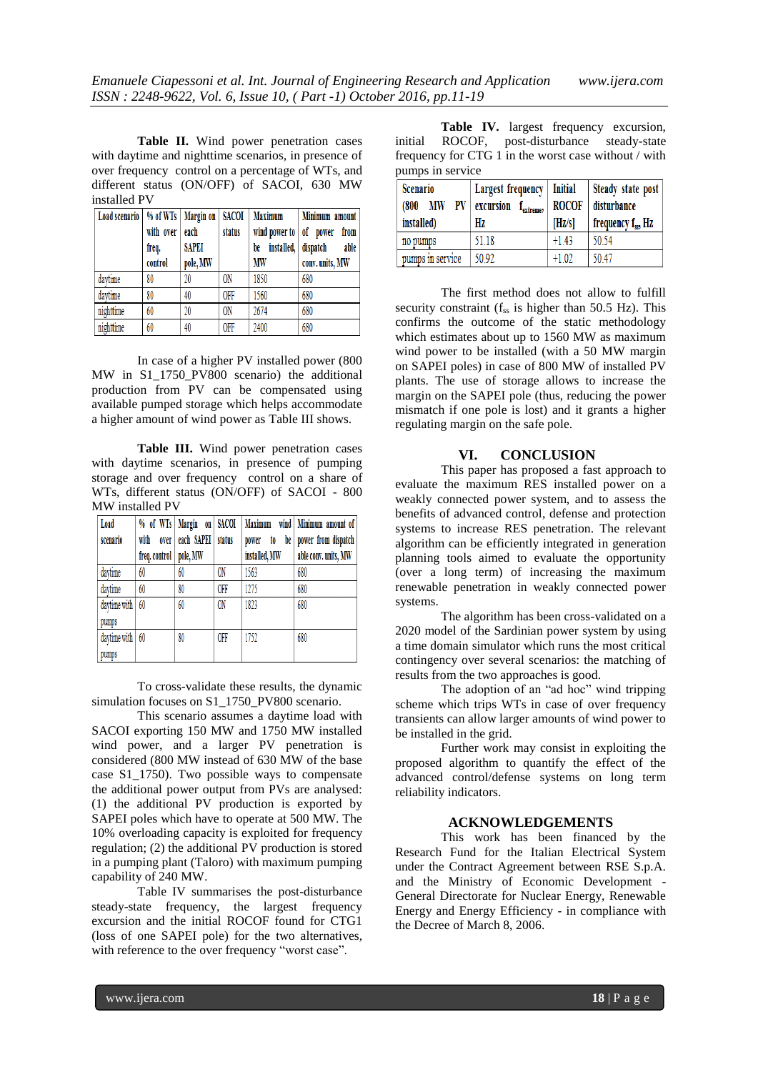<span id="page-7-0"></span>**Table II.** Wind power penetration cases with daytime and nighttime scenarios, in presence of over frequency control on a percentage of WTs, and different status (ON/OFF) of SACOI, 630 MW installed PV

| Load scenario | with over<br>freq.<br>control | % of WTs   Margin on<br>each<br><b>SAPEI</b><br>pole, MW | <b>SACOI</b><br>status | <b>Maximum</b><br>wind power to of power<br>be<br>MW | Minimum amount<br>from<br>installed, dispatch<br>able<br>conv. units, MW |
|---------------|-------------------------------|----------------------------------------------------------|------------------------|------------------------------------------------------|--------------------------------------------------------------------------|
| daytime       | 80                            | 20                                                       | <b>ON</b>              | 1850                                                 | 680                                                                      |
| daytime       | 80                            | 40                                                       | <b>OFF</b>             | 1560                                                 | 680                                                                      |
| nighttime     | 60                            | 20                                                       | <b>ON</b>              | 2674                                                 | 680                                                                      |
| nighttime     | 60                            | 40                                                       | <b>OFF</b>             | 2400                                                 | 680                                                                      |

In case of a higher PV installed power (800 MW in S1\_1750\_PV800 scenario) the additional production from PV can be compensated using available pumped storage which helps accommodate a higher amount of wind power as [Table III](#page-7-1) shows.

<span id="page-7-1"></span>**Table III.** Wind power penetration cases with daytime scenarios, in presence of pumping storage and over frequency control on a share of WTs, different status (ON/OFF) of SACOI - 800 MW installed PV

| Load<br>scenario      | with<br>over  | % of WTs   Margin on   SACOI<br>each SAPEI | status        | <b>Maximum</b><br>be<br>to | wind   Minimum amount of<br>power from dispatch |
|-----------------------|---------------|--------------------------------------------|---------------|----------------------------|-------------------------------------------------|
|                       | freq. control | pole, MW                                   |               | power<br>installed, MW     | able conv. units, MW                            |
| davtime               | 60            | 60                                         | 0N            | 1563                       | 680                                             |
| davtime               | 60            | 80                                         | <b>OFF</b>    | 1275                       | 680                                             |
| daytime with<br>pumps | 60            | 60                                         | <sub>ON</sub> | 1823                       | 680                                             |
| daytime with<br>pumps | 60            | 80                                         | <b>OFF</b>    | 1752                       | 680                                             |

To cross-validate these results, the dynamic simulation focuses on S1\_1750\_PV800 scenario.

This scenario assumes a daytime load with SACOI exporting 150 MW and 1750 MW installed wind power, and a larger PV penetration is considered (800 MW instead of 630 MW of the base case S1\_1750). Two possible ways to compensate the additional power output from PVs are analysed: (1) the additional PV production is exported by SAPEI poles which have to operate at 500 MW. The 10% overloading capacity is exploited for frequency regulation; (2) the additional PV production is stored in a pumping plant (Taloro) with maximum pumping capability of 240 MW.

[Table IV](#page-7-2) summarises the post-disturbance steady-state frequency, the largest frequency excursion and the initial ROCOF found for CTG1 (loss of one SAPEI pole) for the two alternatives, with reference to the over frequency "worst case".

<span id="page-7-2"></span>**Table IV.** largest frequency excursion, initial ROCOF, post-disturbance steady-state frequency for CTG 1 in the worst case without / with pumps in service

| Scenario<br>PV<br><b>MW</b><br>(800<br>installed) | Largest frequency   Initial<br>excursion f <sub>extreme</sub> ,<br>Hz | <b>ROCOF</b><br>[Hz/s] | Steady state post<br>disturbance<br>frequency $f_{ss}$ , Hz |
|---------------------------------------------------|-----------------------------------------------------------------------|------------------------|-------------------------------------------------------------|
| no pumps                                          | 51.18                                                                 | $+1.43$                | 50.54                                                       |
| pumps in service                                  | 50.92                                                                 | $+1.02$                | 50.47                                                       |

The first method does not allow to fulfill security constraint  $(f_{ss}$  is higher than 50.5 Hz). This confirms the outcome of the static methodology which estimates about up to 1560 MW as maximum wind power to be installed (with a 50 MW margin on SAPEI poles) in case of 800 MW of installed PV plants. The use of storage allows to increase the margin on the SAPEI pole (thus, reducing the power mismatch if one pole is lost) and it grants a higher regulating margin on the safe pole.

## **VI. CONCLUSION**

This paper has proposed a fast approach to evaluate the maximum RES installed power on a weakly connected power system, and to assess the benefits of advanced control, defense and protection systems to increase RES penetration. The relevant algorithm can be efficiently integrated in generation planning tools aimed to evaluate the opportunity (over a long term) of increasing the maximum renewable penetration in weakly connected power systems.

The algorithm has been cross-validated on a 2020 model of the Sardinian power system by using a time domain simulator which runs the most critical contingency over several scenarios: the matching of results from the two approaches is good.

The adoption of an "ad hoc" wind tripping scheme which trips WTs in case of over frequency transients can allow larger amounts of wind power to be installed in the grid.

Further work may consist in exploiting the proposed algorithm to quantify the effect of the advanced control/defense systems on long term reliability indicators.

#### **ACKNOWLEDGEMENTS**

This work has been financed by the Research Fund for the Italian Electrical System under the Contract Agreement between RSE S.p.A. and the Ministry of Economic Development - General Directorate for Nuclear Energy, Renewable Energy and Energy Efficiency - in compliance with the Decree of March 8, 2006.